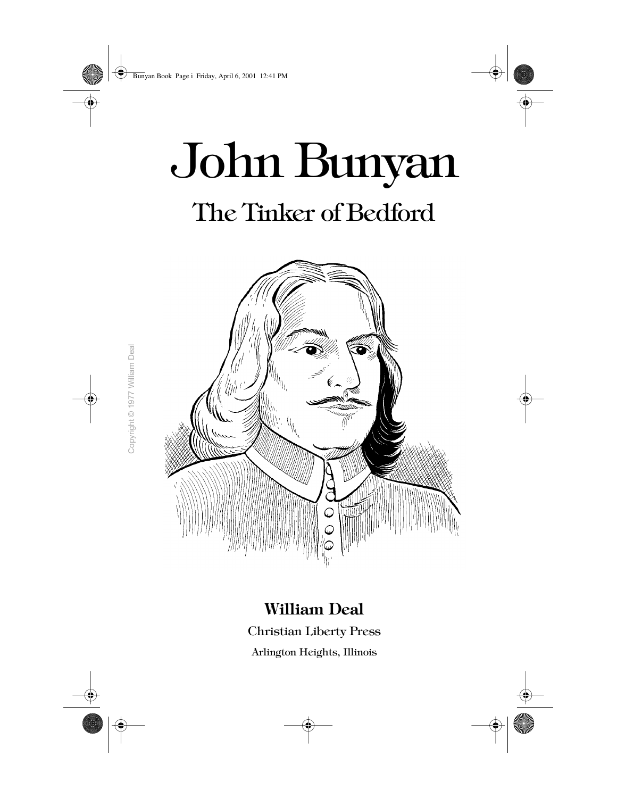# John Bunyan The Tinker of Bedford



#### William Deal

Christian Liberty Press

Arlington Heights, Illinois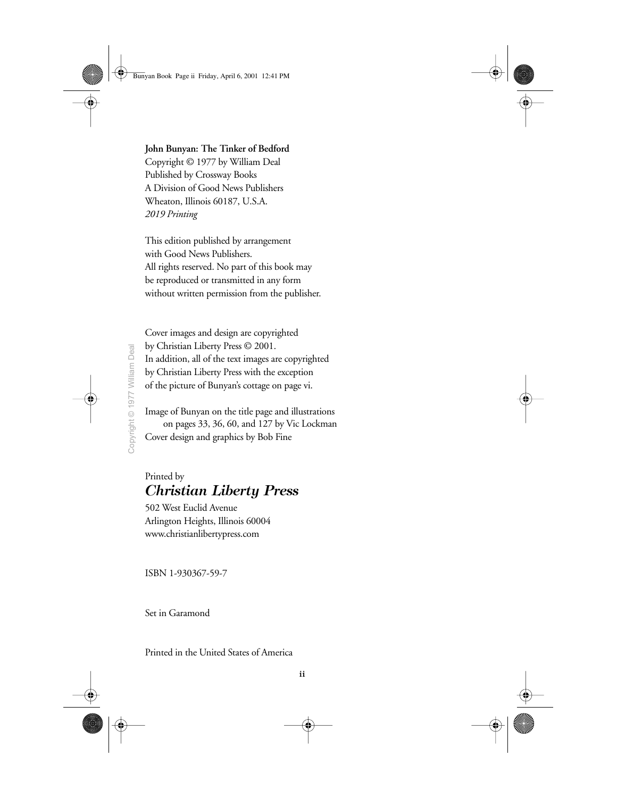#### **John Bunyan: The Tinker of Bedford**

Copyright © 1977 by William Deal Published by Crossway Books A Division of Good News Publishers Wheaton, Illinois 60187, U.S.A. *2019 Printing*

This edition published by arrangement with Good News Publishers. All rights reserved. No part of this book may be reproduced or transmitted in any form without written permission from the publisher.

Cover images and design are copyrighted by Christian Liberty Press © 2001. In addition, all of the text images are copyrighted by Christian Liberty Press with the exception of the picture of Bunyan's cottage on page vi.

Image of Bunyan on the title page and illustrations on pages 33, 36, 60, and 127 by Vic Lockman Cover design and graphics by Bob Fine

#### Printed by *Christian Liberty Press*

502 West Euclid Avenue Arlington Heights, Illinois 60004 www.christianlibertypress.com

ISBN 1-930367-59-7

Set in Garamond

Printed in the United States of America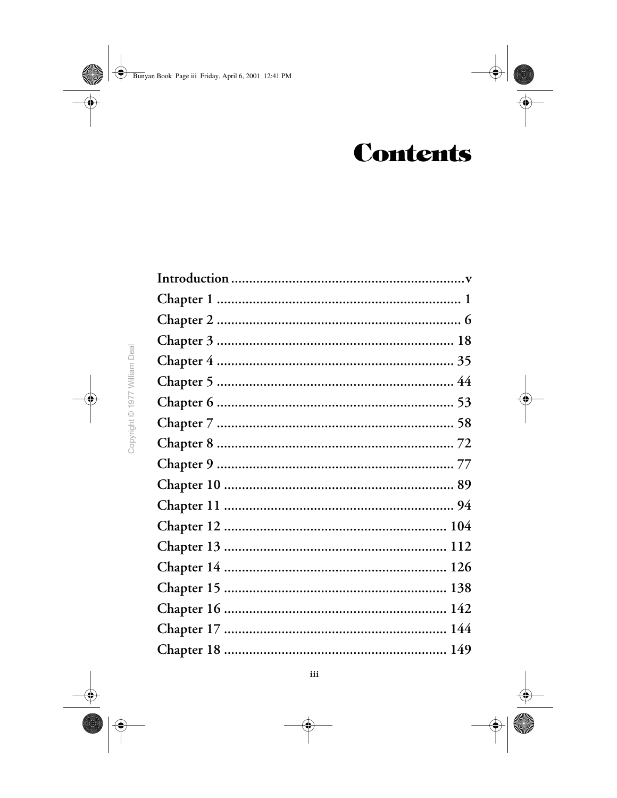# **Contents**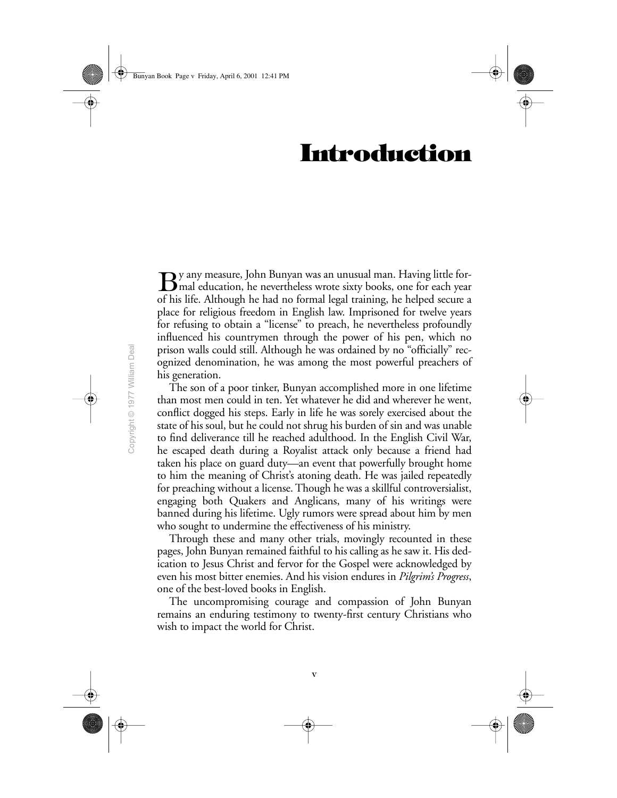# Introduction

y any measure, John Bunyan was an unusual man. Having little for-**B**y any measure, John Bunyan was an unusual man. Having little for-<br>and education, he nevertheless wrote sixty books, one for each year of his life. Although he had no formal legal training, he helped secure a place for religious freedom in English law. Imprisoned for twelve years for refusing to obtain a "license" to preach, he nevertheless profoundly influenced his countrymen through the power of his pen, which no prison walls could still. Although he was ordained by no "officially" recognized denomination, he was among the most powerful preachers of his generation.

The son of a poor tinker, Bunyan accomplished more in one lifetime than most men could in ten. Yet whatever he did and wherever he went, conflict dogged his steps. Early in life he was sorely exercised about the state of his soul, but he could not shrug his burden of sin and was unable to find deliverance till he reached adulthood. In the English Civil War, he escaped death during a Royalist attack only because a friend had taken his place on guard duty—an event that powerfully brought home to him the meaning of Christ's atoning death. He was jailed repeatedly for preaching without a license. Though he was a skillful controversialist, engaging both Quakers and Anglicans, many of his writings were banned during his lifetime. Ugly rumors were spread about him by men who sought to undermine the effectiveness of his ministry.

Through these and many other trials, movingly recounted in these pages, John Bunyan remained faithful to his calling as he saw it. His dedication to Jesus Christ and fervor for the Gospel were acknowledged by even his most bitter enemies. And his vision endures in *Pilgrim's Progress*, one of the best-loved books in English.

The uncompromising courage and compassion of John Bunyan remains an enduring testimony to twenty-first century Christians who wish to impact the world for Christ.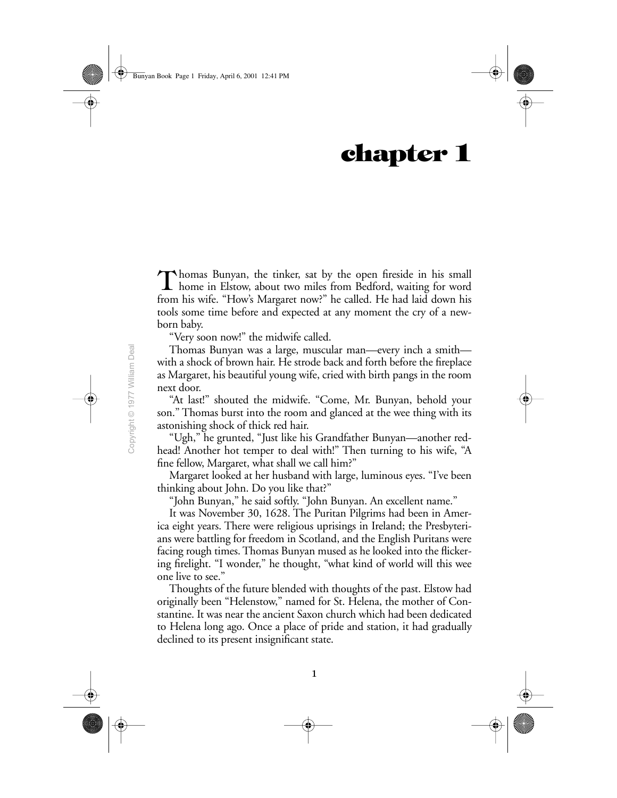# chapter 1

homas Bunyan, the tinker, sat by the open fireside in his small Thomas Bunyan, the tinker, sat by the open fireside in his small<br>home in Elstow, about two miles from Bedford, waiting for word from his wife. "How's Margaret now?" he called. He had laid down his tools some time before and expected at any moment the cry of a newborn baby.

"Very soon now!" the midwife called.

Thomas Bunyan was a large, muscular man—every inch a smith with a shock of brown hair. He strode back and forth before the fireplace as Margaret, his beautiful young wife, cried with birth pangs in the room next door.

"At last!" shouted the midwife. "Come, Mr. Bunyan, behold your son." Thomas burst into the room and glanced at the wee thing with its astonishing shock of thick red hair.

"Ugh," he grunted, "Just like his Grandfather Bunyan—another redhead! Another hot temper to deal with!" Then turning to his wife, "A fine fellow, Margaret, what shall we call him?"

Margaret looked at her husband with large, luminous eyes. "I've been thinking about John. Do you like that?"

"John Bunyan," he said softly. "John Bunyan. An excellent name."

It was November 30, 1628. The Puritan Pilgrims had been in America eight years. There were religious uprisings in Ireland; the Presbyterians were battling for freedom in Scotland, and the English Puritans were facing rough times. Thomas Bunyan mused as he looked into the flickering firelight. "I wonder," he thought, "what kind of world will this wee one live to see."

Thoughts of the future blended with thoughts of the past. Elstow had originally been "Helenstow," named for St. Helena, the mother of Constantine. It was near the ancient Saxon church which had been dedicated to Helena long ago. Once a place of pride and station, it had gradually declined to its present insignificant state.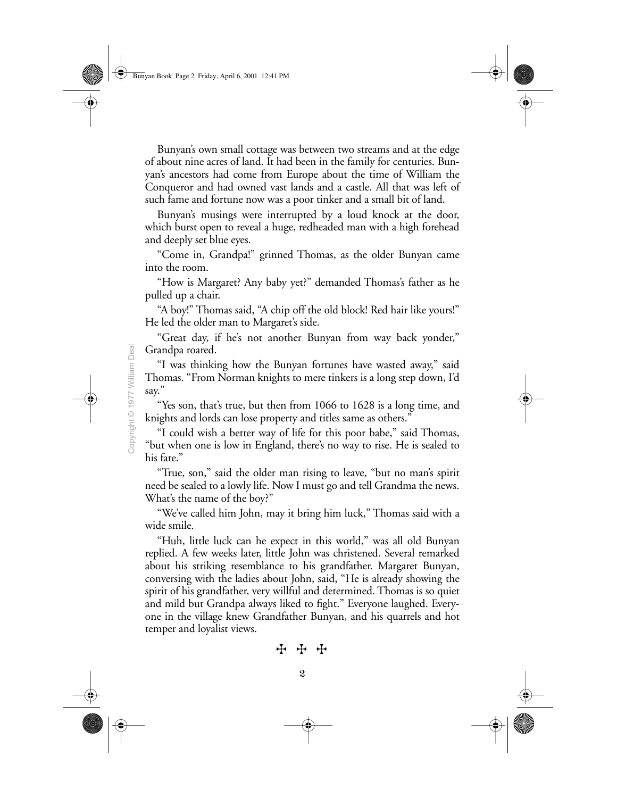Bunyan's own small cottage was between two streams and at the edge of about nine acres of land. It had been in the family for centuries. Bunyan's ancestors had come from Europe about the time of William the Conqueror and had owned vast lands and a castle. All that was left of such fame and fortune now was a poor tinker and a small bit of land.

Bunyan's musings were interrupted by a loud knock at the door, which burst open to reveal a huge, redheaded man with a high forehead and deeply set blue eyes.

"Come in, Grandpa!" grinned Thomas, as the older Bunyan came into the room.

"How is Margaret? Any baby yet?" demanded Thomas's father as he pulled up a chair.

"A boy!" Thomas said, "A chip off the old block! Red hair like yours!" He led the older man to Margaret's side.

"Great day, if he's not another Bunyan from way back yonder," Grandpa roared.

"I was thinking how the Bunyan fortunes have wasted away," said Thomas. "From Norman knights to mere tinkers is a long step down, I'd say."

"Yes son, that's true, but then from 1066 to 1628 is a long time, and knights and lords can lose property and titles same as others."

"I could wish a better way of life for this poor babe," said Thomas, "but when one is low in England, there's no way to rise. He is sealed to his fate."

"True, son," said the older man rising to leave, "but no man's spirit need be sealed to a lowly life. Now I must go and tell Grandma the news. What's the name of the boy?"

"We've called him John, may it bring him luck," Thomas said with a wide smile.

"Huh, little luck can he expect in this world," was all old Bunyan replied. A few weeks later, little John was christened. Several remarked about his striking resemblance to his grandfather. Margaret Bunyan, conversing with the ladies about John, said, "He is already showing the spirit of his grandfather, very willful and determined. Thomas is so quiet and mild but Grandpa always liked to fight." Everyone laughed. Everyone in the village knew Grandfather Bunyan, and his quarrels and hot temper and loyalist views.

$$
\begin{array}{c}\n\text{H} \\
\text{H} \\
\text{H}\n\end{array}
$$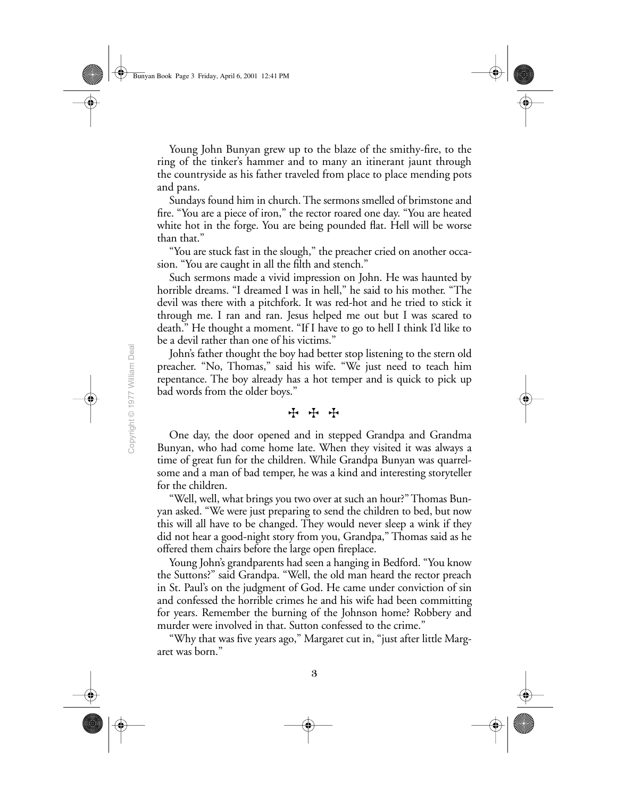Young John Bunyan grew up to the blaze of the smithy-fire, to the ring of the tinker's hammer and to many an itinerant jaunt through the countryside as his father traveled from place to place mending pots and pans.

Sundays found him in church. The sermons smelled of brimstone and fire. "You are a piece of iron," the rector roared one day. "You are heated white hot in the forge. You are being pounded flat. Hell will be worse than that."

"You are stuck fast in the slough," the preacher cried on another occasion. "You are caught in all the filth and stench."

Such sermons made a vivid impression on John. He was haunted by horrible dreams. "I dreamed I was in hell," he said to his mother. "The devil was there with a pitchfork. It was red-hot and he tried to stick it through me. I ran and ran. Jesus helped me out but I was scared to death." He thought a moment. "If I have to go to hell I think I'd like to be a devil rather than one of his victims."

John's father thought the boy had better stop listening to the stern old preacher. "No, Thomas," said his wife. "We just need to teach him repentance. The boy already has a hot temper and is quick to pick up bad words from the older boys."

<u>a</u> a a

One day, the door opened and in stepped Grandpa and Grandma Bunyan, who had come home late. When they visited it was always a time of great fun for the children. While Grandpa Bunyan was quarrelsome and a man of bad temper, he was a kind and interesting storyteller for the children.

"Well, well, what brings you two over at such an hour?" Thomas Bunyan asked. "We were just preparing to send the children to bed, but now this will all have to be changed. They would never sleep a wink if they did not hear a good-night story from you, Grandpa," Thomas said as he offered them chairs before the large open fireplace.

Young John's grandparents had seen a hanging in Bedford. "You know the Suttons?" said Grandpa. "Well, the old man heard the rector preach in St. Paul's on the judgment of God. He came under conviction of sin and confessed the horrible crimes he and his wife had been committing for years. Remember the burning of the Johnson home? Robbery and murder were involved in that. Sutton confessed to the crime."

"Why that was five years ago," Margaret cut in, "just after little Margaret was born."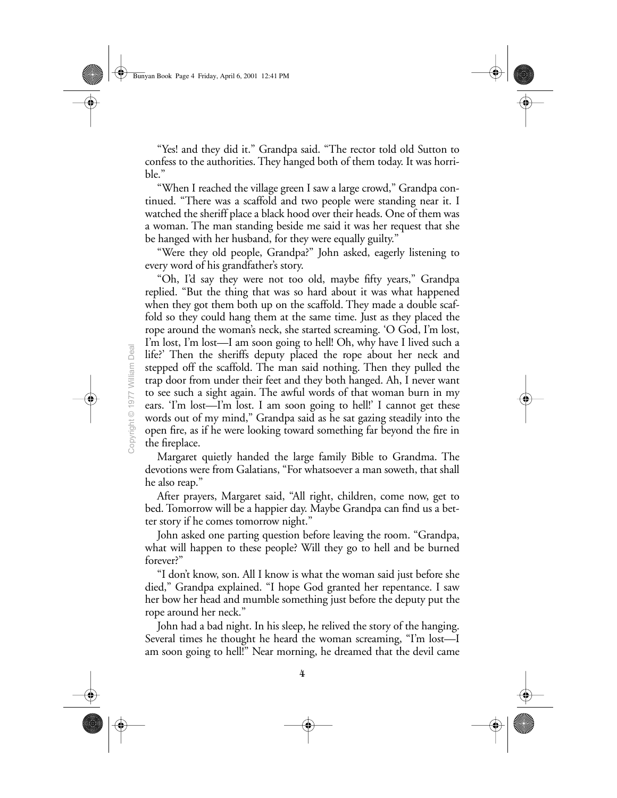"Yes! and they did it." Grandpa said. "The rector told old Sutton to confess to the authorities. They hanged both of them today. It was horrible."

"When I reached the village green I saw a large crowd," Grandpa continued. "There was a scaffold and two people were standing near it. I watched the sheriff place a black hood over their heads. One of them was a woman. The man standing beside me said it was her request that she be hanged with her husband, for they were equally guilty."

"Were they old people, Grandpa?" John asked, eagerly listening to every word of his grandfather's story.

"Oh, I'd say they were not too old, maybe fifty years," Grandpa replied. "But the thing that was so hard about it was what happened when they got them both up on the scaffold. They made a double scaffold so they could hang them at the same time. Just as they placed the rope around the woman's neck, she started screaming. 'O God, I'm lost, I'm lost, I'm lost—I am soon going to hell! Oh, why have I lived such a life?' Then the sheriffs deputy placed the rope about her neck and stepped off the scaffold. The man said nothing. Then they pulled the trap door from under their feet and they both hanged. Ah, I never want to see such a sight again. The awful words of that woman burn in my ears. 'I'm lost—I'm lost. I am soon going to hell!' I cannot get these words out of my mind," Grandpa said as he sat gazing steadily into the open fire, as if he were looking toward something far beyond the fire in the fireplace.

Margaret quietly handed the large family Bible to Grandma. The devotions were from Galatians, "For whatsoever a man soweth, that shall he also reap."

After prayers, Margaret said, "All right, children, come now, get to bed. Tomorrow will be a happier day. Maybe Grandpa can find us a better story if he comes tomorrow night."

John asked one parting question before leaving the room. "Grandpa, what will happen to these people? Will they go to hell and be burned forever?"

"I don't know, son. All I know is what the woman said just before she died," Grandpa explained. "I hope God granted her repentance. I saw her bow her head and mumble something just before the deputy put the rope around her neck."

John had a bad night. In his sleep, he relived the story of the hanging. Several times he thought he heard the woman screaming, "I'm lost—I am soon going to hell!" Near morning, he dreamed that the devil came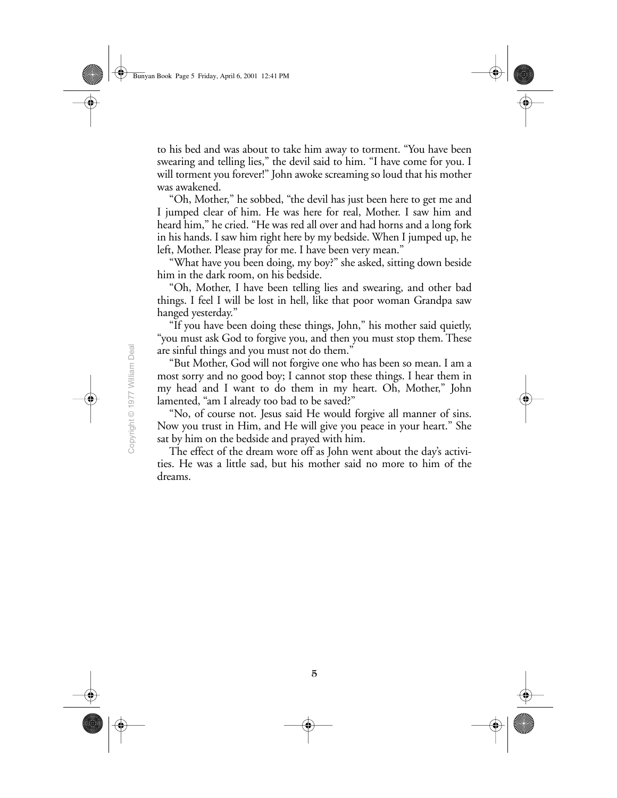to his bed and was about to take him away to torment. "You have been swearing and telling lies," the devil said to him. "I have come for you. I will torment you forever!" John awoke screaming so loud that his mother was awakened.

"Oh, Mother," he sobbed, "the devil has just been here to get me and I jumped clear of him. He was here for real, Mother. I saw him and heard him," he cried. "He was red all over and had horns and a long fork in his hands. I saw him right here by my bedside. When I jumped up, he left, Mother. Please pray for me. I have been very mean."

"What have you been doing, my boy?" she asked, sitting down beside him in the dark room, on his bedside.

"Oh, Mother, I have been telling lies and swearing, and other bad things. I feel I will be lost in hell, like that poor woman Grandpa saw hanged yesterday."

"If you have been doing these things, John," his mother said quietly, "you must ask God to forgive you, and then you must stop them. These are sinful things and you must not do them."

"But Mother, God will not forgive one who has been so mean. I am a most sorry and no good boy; I cannot stop these things. I hear them in my head and I want to do them in my heart. Oh, Mother," John lamented, "am I already too bad to be saved?"

"No, of course not. Jesus said He would forgive all manner of sins. Now you trust in Him, and He will give you peace in your heart." She sat by him on the bedside and prayed with him.

The effect of the dream wore off as John went about the day's activities. He was a little sad, but his mother said no more to him of the dreams.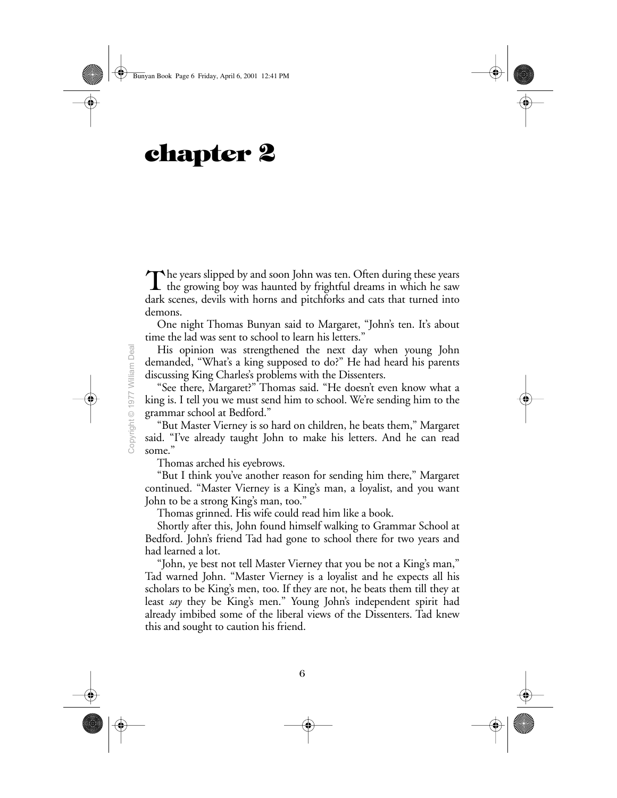# chapter 2

he years slipped by and soon John was ten. Often during these years The years slipped by and soon John was ten. Often during these years<br>the growing boy was haunted by frightful dreams in which he saw dark scenes, devils with horns and pitchforks and cats that turned into demons.

One night Thomas Bunyan said to Margaret, "John's ten. It's about time the lad was sent to school to learn his letters."

His opinion was strengthened the next day when young John demanded, "What's a king supposed to do?" He had heard his parents discussing King Charles's problems with the Dissenters.

"See there, Margaret?" Thomas said. "He doesn't even know what a king is. I tell you we must send him to school. We're sending him to the grammar school at Bedford."

"But Master Vierney is so hard on children, he beats them," Margaret said. "I've already taught John to make his letters. And he can read some."

Thomas arched his eyebrows.

"But I think you've another reason for sending him there," Margaret continued. "Master Vierney is a King's man, a loyalist, and you want John to be a strong King's man, too."

Thomas grinned. His wife could read him like a book.

Shortly after this, John found himself walking to Grammar School at Bedford. John's friend Tad had gone to school there for two years and had learned a lot.

"John, ye best not tell Master Vierney that you be not a King's man," Tad warned John. "Master Vierney is a loyalist and he expects all his scholars to be King's men, too. If they are not, he beats them till they at least *say* they be King's men." Young John's independent spirit had already imbibed some of the liberal views of the Dissenters. Tad knew this and sought to caution his friend.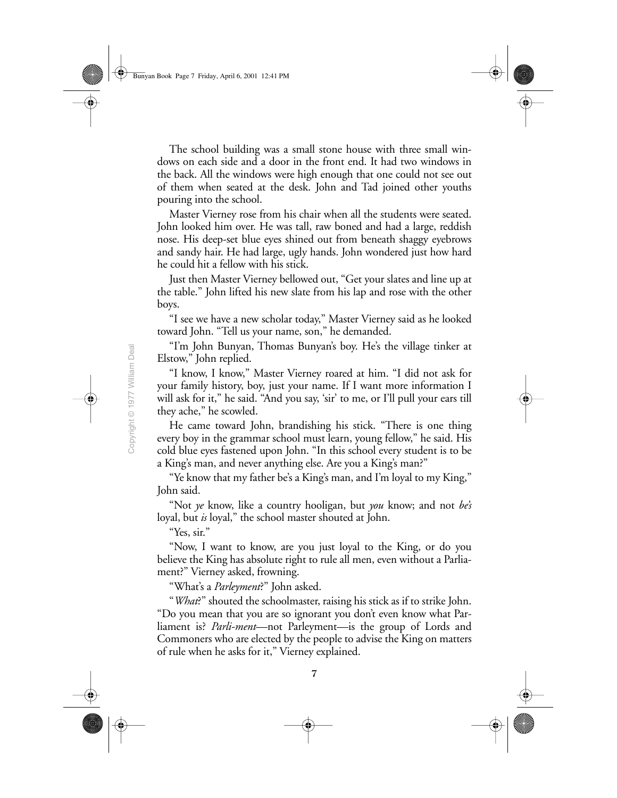The school building was a small stone house with three small windows on each side and a door in the front end. It had two windows in the back. All the windows were high enough that one could not see out of them when seated at the desk. John and Tad joined other youths pouring into the school.

Master Vierney rose from his chair when all the students were seated. John looked him over. He was tall, raw boned and had a large, reddish nose. His deep-set blue eyes shined out from beneath shaggy eyebrows and sandy hair. He had large, ugly hands. John wondered just how hard he could hit a fellow with his stick.

Just then Master Vierney bellowed out, "Get your slates and line up at the table." John lifted his new slate from his lap and rose with the other boys.

"I see we have a new scholar today," Master Vierney said as he looked toward John. "Tell us your name, son," he demanded.

"I'm John Bunyan, Thomas Bunyan's boy. He's the village tinker at Elstow," John replied.

"I know, I know," Master Vierney roared at him. "I did not ask for your family history, boy, just your name. If I want more information I will ask for it," he said. "And you say, 'sir' to me, or I'll pull your ears till they ache," he scowled.

He came toward John, brandishing his stick. "There is one thing every boy in the grammar school must learn, young fellow," he said. His cold blue eyes fastened upon John. "In this school every student is to be a King's man, and never anything else. Are you a King's man?"

"Ye know that my father be's a King's man, and I'm loyal to my King," John said.

"Not *ye* know, like a country hooligan, but *you* know; and not *be's* loyal, but *is* loyal," the school master shouted at John.

"Yes, sir."

"Now, I want to know, are you just loyal to the King, or do you believe the King has absolute right to rule all men, even without a Parliament?" Vierney asked, frowning.

"What's a *Parleyment*?" John asked.

"*What*?" shouted the schoolmaster, raising his stick as if to strike John. "Do you mean that you are so ignorant you don't even know what Parliament is? *Parli-ment*—not Parleyment—is the group of Lords and Commoners who are elected by the people to advise the King on matters of rule when he asks for it," Vierney explained.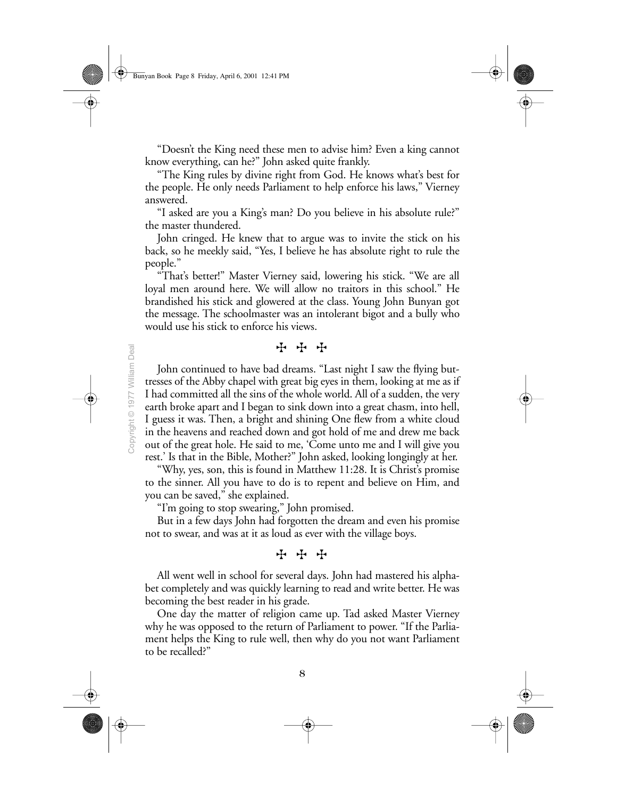"Doesn't the King need these men to advise him? Even a king cannot know everything, can he?" John asked quite frankly.

"The King rules by divine right from God. He knows what's best for the people. He only needs Parliament to help enforce his laws," Vierney answered.

"I asked are you a King's man? Do you believe in his absolute rule?" the master thundered.

John cringed. He knew that to argue was to invite the stick on his back, so he meekly said, "Yes, I believe he has absolute right to rule the people."

"That's better!" Master Vierney said, lowering his stick. "We are all loyal men around here. We will allow no traitors in this school." He brandished his stick and glowered at the class. Young John Bunyan got the message. The schoolmaster was an intolerant bigot and a bully who would use his stick to enforce his views.

### - - -

John continued to have bad dreams. "Last night I saw the flying buttresses of the Abby chapel with great big eyes in them, looking at me as if I had committed all the sins of the whole world. All of a sudden, the very earth broke apart and I began to sink down into a great chasm, into hell, I guess it was. Then, a bright and shining One flew from a white cloud in the heavens and reached down and got hold of me and drew me back out of the great hole. He said to me, 'Come unto me and I will give you rest.' Is that in the Bible, Mother?" John asked, looking longingly at her.

"Why, yes, son, this is found in Matthew 11:28. It is Christ's promise to the sinner. All you have to do is to repent and believe on Him, and you can be saved," she explained.

"I'm going to stop swearing," John promised.

But in a few days John had forgotten the dream and even his promise not to swear, and was at it as loud as ever with the village boys.

#### <u>a</u> a a

All went well in school for several days. John had mastered his alphabet completely and was quickly learning to read and write better. He was becoming the best reader in his grade.

One day the matter of religion came up. Tad asked Master Vierney why he was opposed to the return of Parliament to power. "If the Parliament helps the King to rule well, then why do you not want Parliament to be recalled?"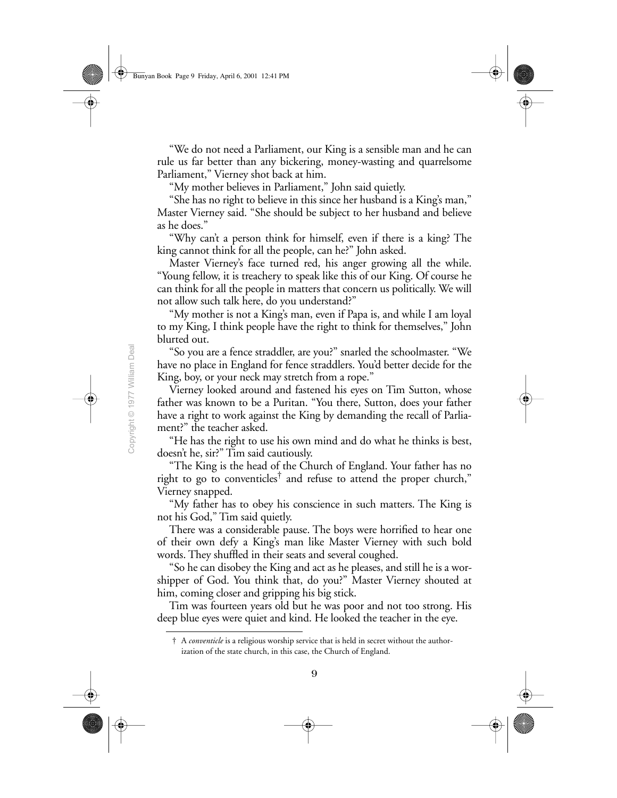"We do not need a Parliament, our King is a sensible man and he can rule us far better than any bickering, money-wasting and quarrelsome Parliament," Vierney shot back at him.

"My mother believes in Parliament," John said quietly.

"She has no right to believe in this since her husband is a King's man," Master Vierney said. "She should be subject to her husband and believe as he does."

"Why can't a person think for himself, even if there is a king? The king cannot think for all the people, can he?" John asked.

Master Vierney's face turned red, his anger growing all the while. "Young fellow, it is treachery to speak like this of our King. Of course he can think for all the people in matters that concern us politically. We will not allow such talk here, do you understand?"

"My mother is not a King's man, even if Papa is, and while I am loyal to my King, I think people have the right to think for themselves," John blurted out.

"So you are a fence straddler, are you?" snarled the schoolmaster. "We have no place in England for fence straddlers. You'd better decide for the King, boy, or your neck may stretch from a rope."

Vierney looked around and fastened his eyes on Tim Sutton, whose father was known to be a Puritan. "You there, Sutton, does your father have a right to work against the King by demanding the recall of Parliament?" the teacher asked.

"He has the right to use his own mind and do what he thinks is best, doesn't he, sir?" Tim said cautiously.

"The King is the head of the Church of England. Your father has no right to go to conventicles<sup>†</sup> and refuse to attend the proper church," Vierney snapped.

"My father has to obey his conscience in such matters. The King is not his God," Tim said quietly.

There was a considerable pause. The boys were horrified to hear one of their own defy a King's man like Master Vierney with such bold words. They shuffled in their seats and several coughed.

"So he can disobey the King and act as he pleases, and still he is a worshipper of God. You think that, do you?" Master Vierney shouted at him, coming closer and gripping his big stick.

Tim was fourteen years old but he was poor and not too strong. His deep blue eyes were quiet and kind. He looked the teacher in the eye.

<sup>†</sup> A *conventicle* is a religious worship service that is held in secret without the authorization of the state church, in this case, the Church of England.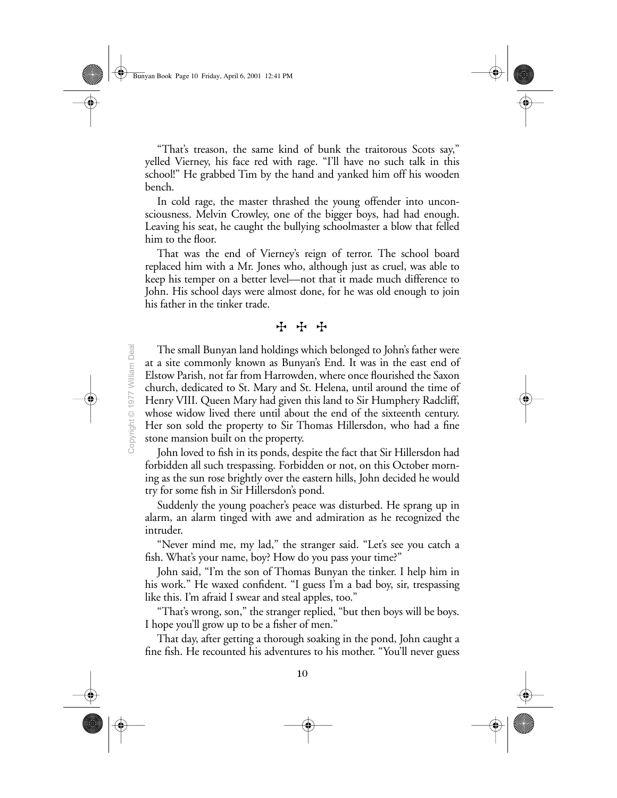"That's treason, the same kind of bunk the traitorous Scots say," yelled Vierney, his face red with rage. "I'll have no such talk in this school!" He grabbed Tim by the hand and yanked him off his wooden bench.

In cold rage, the master thrashed the young offender into unconsciousness. Melvin Crowley, one of the bigger boys, had had enough. Leaving his seat, he caught the bullying schoolmaster a blow that felled him to the floor.

That was the end of Vierney's reign of terror. The school board replaced him with a Mr. Jones who, although just as cruel, was able to keep his temper on a better level—not that it made much difference to John. His school days were almost done, for he was old enough to join his father in the tinker trade.

### <u>a</u> a a

The small Bunyan land holdings which belonged to John's father were at a site commonly known as Bunyan's End. It was in the east end of Elstow Parish, not far from Harrowden, where once flourished the Saxon church, dedicated to St. Mary and St. Helena, until around the time of Henry VIII. Queen Mary had given this land to Sir Humphery Radcliff, whose widow lived there until about the end of the sixteenth century. Her son sold the property to Sir Thomas Hillersdon, who had a fine stone mansion built on the property.

John loved to fish in its ponds, despite the fact that Sir Hillersdon had forbidden all such trespassing. Forbidden or not, on this October morning as the sun rose brightly over the eastern hills, John decided he would try for some fish in Sir Hillersdon's pond.

Suddenly the young poacher's peace was disturbed. He sprang up in alarm, an alarm tinged with awe and admiration as he recognized the intruder.

"Never mind me, my lad," the stranger said. "Let's see you catch a fish. What's your name, boy? How do you pass your time?"

John said, "I'm the son of Thomas Bunyan the tinker. I help him in his work." He waxed confident. "I guess I'm a bad boy, sir, trespassing like this. I'm afraid I swear and steal apples, too."

"That's wrong, son," the stranger replied, "but then boys will be boys. I hope you'll grow up to be a fisher of men."

That day, after getting a thorough soaking in the pond, John caught a fine fish. He recounted his adventures to his mother. "You'll never guess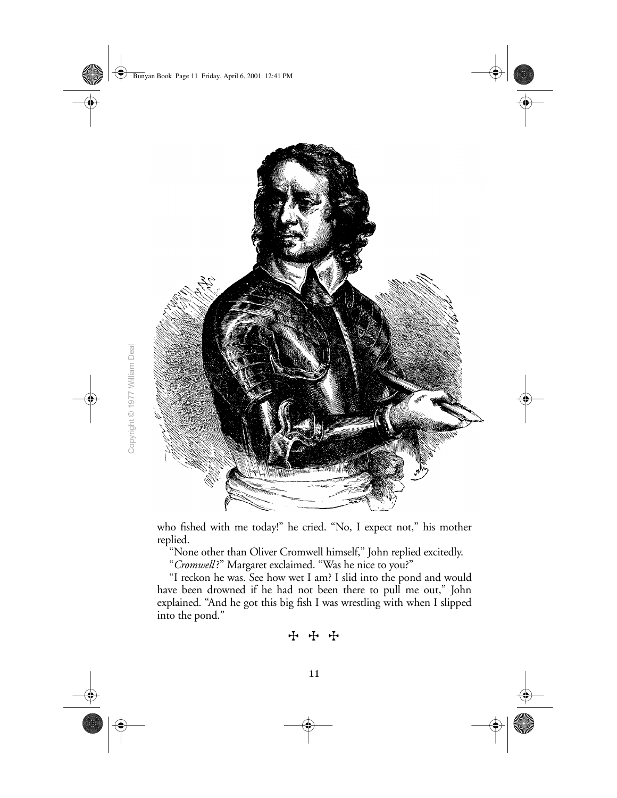

who fished with me today!" he cried. "No, I expect not," his mother replied.

"None other than Oliver Cromwell himself," John replied excitedly.

"*Cromwell*?" Margaret exclaimed. "Was he nice to you?"

"I reckon he was. See how wet I am? I slid into the pond and would have been drowned if he had not been there to pull me out," John explained. "And he got this big fish I was wrestling with when I slipped into the pond."

$$
\pm \pm \pm
$$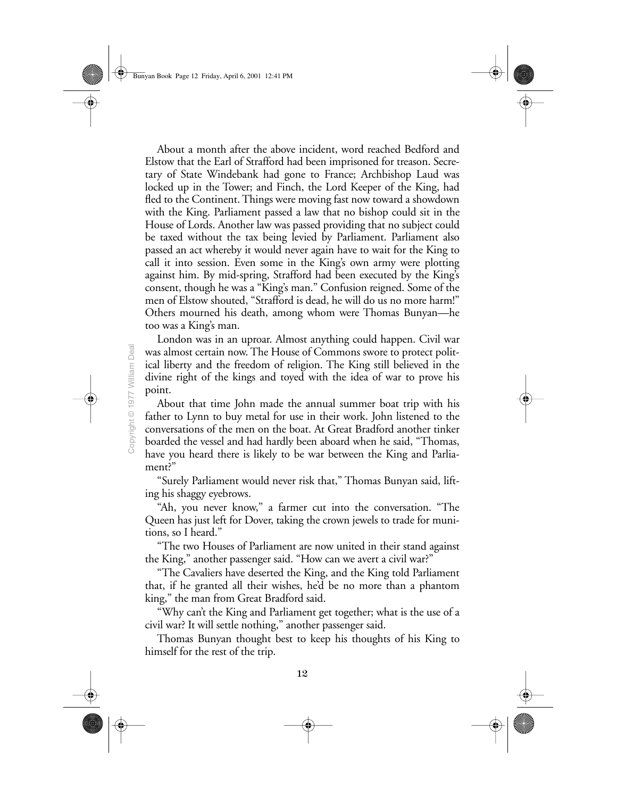About a month after the above incident, word reached Bedford and Elstow that the Earl of Strafford had been imprisoned for treason. Secretary of State Windebank had gone to France; Archbishop Laud was locked up in the Tower; and Finch, the Lord Keeper of the King, had fled to the Continent. Things were moving fast now toward a showdown with the King. Parliament passed a law that no bishop could sit in the House of Lords. Another law was passed providing that no subject could be taxed without the tax being levied by Parliament. Parliament also passed an act whereby it would never again have to wait for the King to call it into session. Even some in the King's own army were plotting against him. By mid-spring, Strafford had been executed by the King's consent, though he was a "King's man." Confusion reigned. Some of the men of Elstow shouted, "Strafford is dead, he will do us no more harm!" Others mourned his death, among whom were Thomas Bunyan—he too was a King's man.

London was in an uproar. Almost anything could happen. Civil war was almost certain now. The House of Commons swore to protect political liberty and the freedom of religion. The King still believed in the divine right of the kings and toyed with the idea of war to prove his point.

About that time John made the annual summer boat trip with his father to Lynn to buy metal for use in their work. John listened to the conversations of the men on the boat. At Great Bradford another tinker boarded the vessel and had hardly been aboard when he said, "Thomas, have you heard there is likely to be war between the King and Parliament?"

"Surely Parliament would never risk that," Thomas Bunyan said, lifting his shaggy eyebrows.

"Ah, you never know," a farmer cut into the conversation. "The Queen has just left for Dover, taking the crown jewels to trade for munitions, so I heard."

"The two Houses of Parliament are now united in their stand against the King," another passenger said. "How can we avert a civil war?"

"The Cavaliers have deserted the King, and the King told Parliament that, if he granted all their wishes, he'd be no more than a phantom king," the man from Great Bradford said.

"Why can't the King and Parliament get together; what is the use of a civil war? It will settle nothing," another passenger said.

Thomas Bunyan thought best to keep his thoughts of his King to himself for the rest of the trip.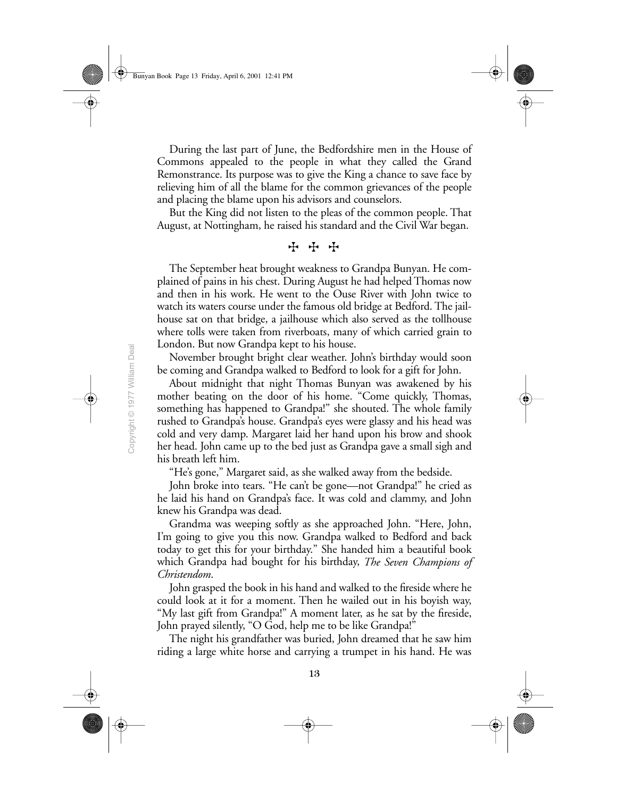During the last part of June, the Bedfordshire men in the House of Commons appealed to the people in what they called the Grand Remonstrance. Its purpose was to give the King a chance to save face by relieving him of all the blame for the common grievances of the people and placing the blame upon his advisors and counselors.

But the King did not listen to the pleas of the common people. That August, at Nottingham, he raised his standard and the Civil War began.

<u>a</u> a a

The September heat brought weakness to Grandpa Bunyan. He complained of pains in his chest. During August he had helped Thomas now and then in his work. He went to the Ouse River with John twice to watch its waters course under the famous old bridge at Bedford. The jailhouse sat on that bridge, a jailhouse which also served as the tollhouse where tolls were taken from riverboats, many of which carried grain to London. But now Grandpa kept to his house.

November brought bright clear weather. John's birthday would soon be coming and Grandpa walked to Bedford to look for a gift for John.

About midnight that night Thomas Bunyan was awakened by his mother beating on the door of his home. "Come quickly, Thomas, something has happened to Grandpa!" she shouted. The whole family rushed to Grandpa's house. Grandpa's eyes were glassy and his head was cold and very damp. Margaret laid her hand upon his brow and shook her head. John came up to the bed just as Grandpa gave a small sigh and his breath left him.

"He's gone," Margaret said, as she walked away from the bedside.

John broke into tears. "He can't be gone—not Grandpa!" he cried as he laid his hand on Grandpa's face. It was cold and clammy, and John knew his Grandpa was dead.

Grandma was weeping softly as she approached John. "Here, John, I'm going to give you this now. Grandpa walked to Bedford and back today to get this for your birthday." She handed him a beautiful book which Grandpa had bought for his birthday, *The Seven Champions of Christendom*.

John grasped the book in his hand and walked to the fireside where he could look at it for a moment. Then he wailed out in his boyish way, "My last gift from Grandpa!" A moment later, as he sat by the fireside, John prayed silently, "O God, help me to be like Grandpa!"

The night his grandfather was buried, John dreamed that he saw him riding a large white horse and carrying a trumpet in his hand. He was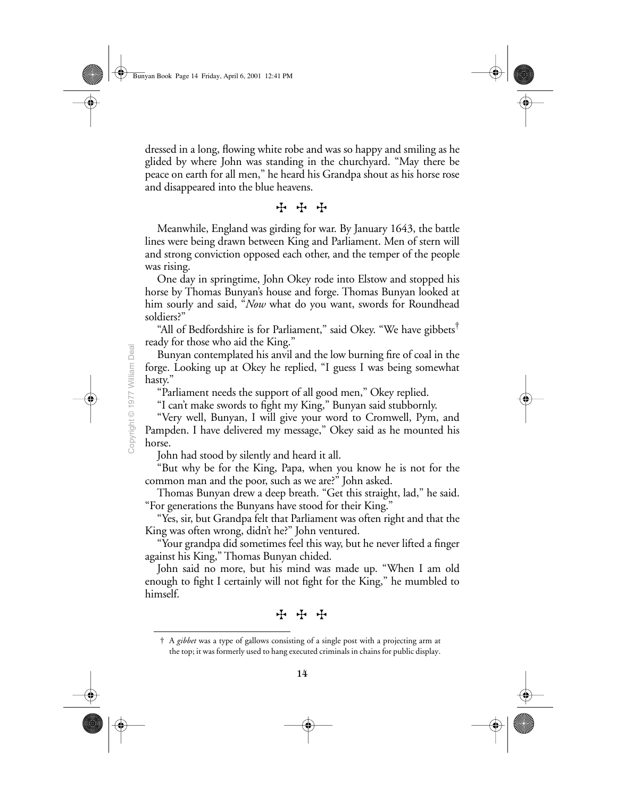dressed in a long, flowing white robe and was so happy and smiling as he glided by where John was standing in the churchyard. "May there be peace on earth for all men," he heard his Grandpa shout as his horse rose and disappeared into the blue heavens.

- - -

Meanwhile, England was girding for war. By January 1643, the battle lines were being drawn between King and Parliament. Men of stern will and strong conviction opposed each other, and the temper of the people was rising.

One day in springtime, John Okey rode into Elstow and stopped his horse by Thomas Bunyan's house and forge. Thomas Bunyan looked at him sourly and said, "*Now* what do you want, swords for Roundhead soldiers?"

"All of Bedfordshire is for Parliament," said Okey. "We have gibbets† ready for those who aid the King."

Bunyan contemplated his anvil and the low burning fire of coal in the forge. Looking up at Okey he replied, "I guess I was being somewhat hasty."

"Parliament needs the support of all good men," Okey replied.

"I can't make swords to fight my King," Bunyan said stubbornly.

"Very well, Bunyan, I will give your word to Cromwell, Pym, and Pampden. I have delivered my message," Okey said as he mounted his horse.

John had stood by silently and heard it all.

"But why be for the King, Papa, when you know he is not for the common man and the poor, such as we are?" John asked.

Thomas Bunyan drew a deep breath. "Get this straight, lad," he said. "For generations the Bunyans have stood for their King."

"Yes, sir, but Grandpa felt that Parliament was often right and that the King was often wrong, didn't he?" John ventured.

"Your grandpa did sometimes feel this way, but he never lifted a finger against his King," Thomas Bunyan chided.

John said no more, but his mind was made up. "When I am old enough to fight I certainly will not fight for the King," he mumbled to himself.

$$
\begin{array}{ccccc}\n\text{+} & \text{+} & \text{+}\n\end{array}
$$

<sup>†</sup> A *gibbet* was a type of gallows consisting of a single post with a projecting arm at the top; it was formerly used to hang executed criminals in chains for public display.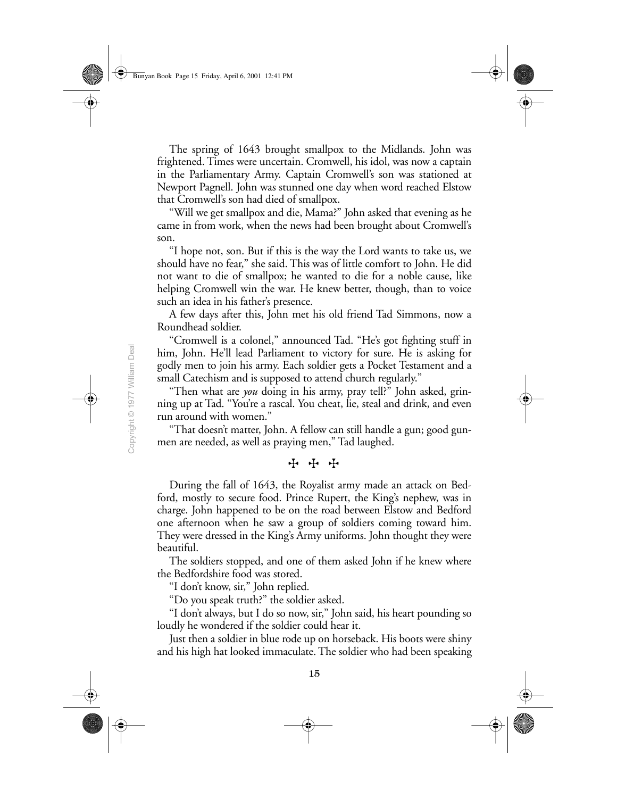The spring of 1643 brought smallpox to the Midlands. John was frightened. Times were uncertain. Cromwell, his idol, was now a captain in the Parliamentary Army. Captain Cromwell's son was stationed at Newport Pagnell. John was stunned one day when word reached Elstow that Cromwell's son had died of smallpox.

"Will we get smallpox and die, Mama?" John asked that evening as he came in from work, when the news had been brought about Cromwell's son.

"I hope not, son. But if this is the way the Lord wants to take us, we should have no fear," she said. This was of little comfort to John. He did not want to die of smallpox; he wanted to die for a noble cause, like helping Cromwell win the war. He knew better, though, than to voice such an idea in his father's presence.

A few days after this, John met his old friend Tad Simmons, now a Roundhead soldier.

"Cromwell is a colonel," announced Tad. "He's got fighting stuff in him, John. He'll lead Parliament to victory for sure. He is asking for godly men to join his army. Each soldier gets a Pocket Testament and a small Catechism and is supposed to attend church regularly."

"Then what are *you* doing in his army, pray tell?" John asked, grinning up at Tad. "You're a rascal. You cheat, lie, steal and drink, and even run around with women."

"That doesn't matter, John. A fellow can still handle a gun; good gunmen are needed, as well as praying men," Tad laughed.

## <u>a</u> a a

During the fall of 1643, the Royalist army made an attack on Bedford, mostly to secure food. Prince Rupert, the King's nephew, was in charge. John happened to be on the road between Elstow and Bedford one afternoon when he saw a group of soldiers coming toward him. They were dressed in the King's Army uniforms. John thought they were beautiful.

The soldiers stopped, and one of them asked John if he knew where the Bedfordshire food was stored.

"I don't know, sir," John replied.

"Do you speak truth?" the soldier asked.

"I don't always, but I do so now, sir," John said, his heart pounding so loudly he wondered if the soldier could hear it.

Just then a soldier in blue rode up on horseback. His boots were shiny and his high hat looked immaculate. The soldier who had been speaking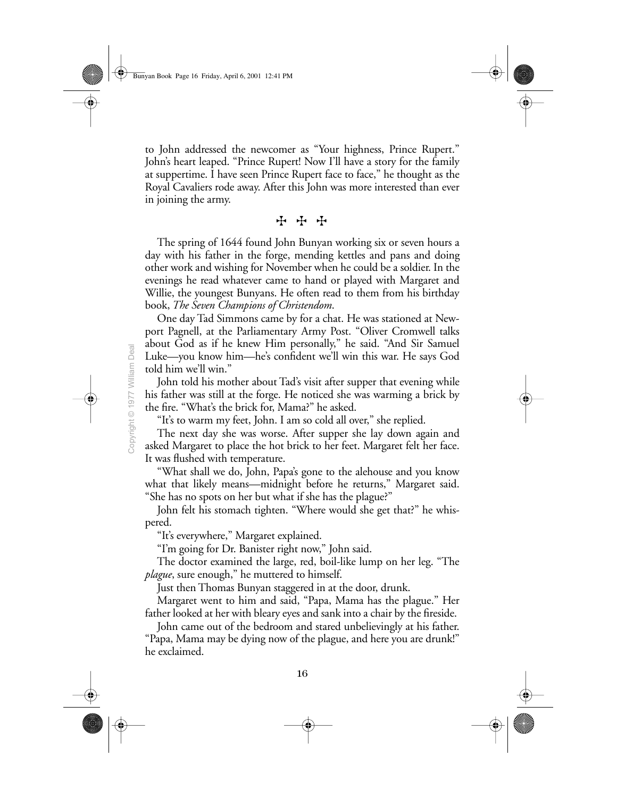to John addressed the newcomer as "Your highness, Prince Rupert." John's heart leaped. "Prince Rupert! Now I'll have a story for the family at suppertime. I have seen Prince Rupert face to face," he thought as the Royal Cavaliers rode away. After this John was more interested than ever in joining the army.

<u>a</u> a a

The spring of 1644 found John Bunyan working six or seven hours a day with his father in the forge, mending kettles and pans and doing other work and wishing for November when he could be a soldier. In the evenings he read whatever came to hand or played with Margaret and Willie, the youngest Bunyans. He often read to them from his birthday book, *The Seven Champions of Christendom*.

One day Tad Simmons came by for a chat. He was stationed at Newport Pagnell, at the Parliamentary Army Post. "Oliver Cromwell talks about God as if he knew Him personally," he said. "And Sir Samuel Luke—you know him—he's confident we'll win this war. He says God told him we'll win."

John told his mother about Tad's visit after supper that evening while his father was still at the forge. He noticed she was warming a brick by the fire. "What's the brick for, Mama?" he asked.

"It's to warm my feet, John. I am so cold all over," she replied.

The next day she was worse. After supper she lay down again and asked Margaret to place the hot brick to her feet. Margaret felt her face. It was flushed with temperature.

"What shall we do, John, Papa's gone to the alehouse and you know what that likely means—midnight before he returns," Margaret said. "She has no spots on her but what if she has the plague?"

John felt his stomach tighten. "Where would she get that?" he whispered.

"It's everywhere," Margaret explained.

"I'm going for Dr. Banister right now," John said.

The doctor examined the large, red, boil-like lump on her leg. "The *plague*, sure enough," he muttered to himself.

Just then Thomas Bunyan staggered in at the door, drunk.

Margaret went to him and said, "Papa, Mama has the plague." Her father looked at her with bleary eyes and sank into a chair by the fireside.

John came out of the bedroom and stared unbelievingly at his father. "Papa, Mama may be dying now of the plague, and here you are drunk!" he exclaimed.